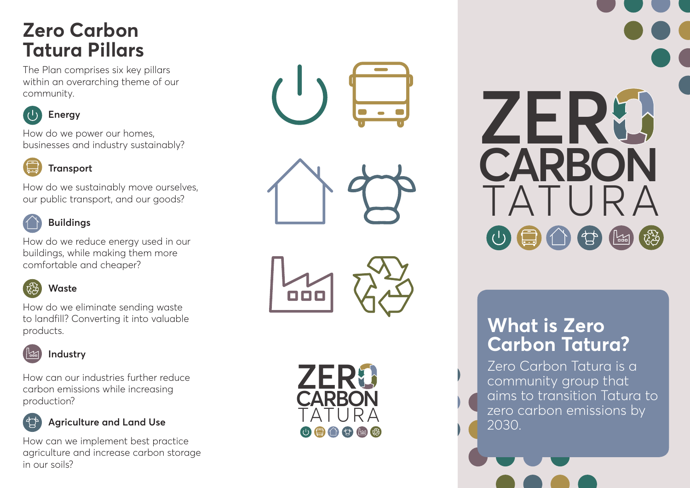## **Zero Carbon Tatura Pillars**

The Plan comprises six key pillars within an overarching theme of our community.



#### **Energy**

How do we power our homes, businesses and industry sustainably?

### **Transport**

How do we sustainably move ourselves, our public transport, and our goods?



#### **Buildings**

How do we reduce energy used in our buildings, while making them more comfortable and cheaper?



#### **Waste**

How do we eliminate sending waste to landfill? Converting it into valuable products.



How can our industries further reduce carbon emissions while increasing production?



#### **Agriculture and Land Use**

How can we implement best practice agriculture and increase carbon storage in our soils?







# **CARBON ZER** TATURA

## **What is Zero Carbon Tatura?**

Zero Carbon Tatura is a community group that aims to transition Tatura to zero carbon emissions by 2030.